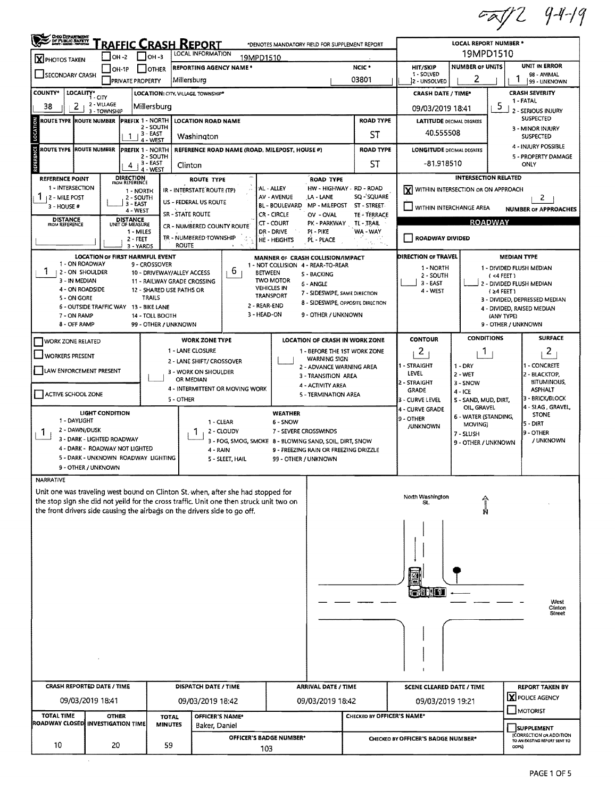$7729419$ 

| OHO DEPARTMENT                                                                                                                                   |                                                                                                                   |                                             | <b>LOCAL REPORT NUMBER *</b> |                                                                                                                                                                             |                                        |                                                               |                                                                       |                                    |                                     |                          |                                                  |  |  |
|--------------------------------------------------------------------------------------------------------------------------------------------------|-------------------------------------------------------------------------------------------------------------------|---------------------------------------------|------------------------------|-----------------------------------------------------------------------------------------------------------------------------------------------------------------------------|----------------------------------------|---------------------------------------------------------------|-----------------------------------------------------------------------|------------------------------------|-------------------------------------|--------------------------|--------------------------------------------------|--|--|
| RAFFIC CRASH REPORT<br>*DENOTES MANDATORY FIELD FOR SUPPLEMENT REPORT<br>LOCAL INFORMATION<br>I Іон-з<br>$LOH -2$<br>19MPD1510<br>X PHOTOS TAKEN |                                                                                                                   |                                             |                              |                                                                                                                                                                             |                                        |                                                               |                                                                       |                                    | 19MPD1510                           |                          |                                                  |  |  |
| <b>REPORTING AGENCY NAME *</b><br>OH-TP<br><b>IOTHER</b><br>SECONDARY CRASH                                                                      |                                                                                                                   |                                             |                              |                                                                                                                                                                             |                                        |                                                               | NCIC <sup>*</sup>                                                     | HIT/SKIP<br>1 - SOLVED             | <b>NUMBER OF UNITS</b>              |                          | <b>UNIT IN ERROR</b><br>98 - ANIMAL              |  |  |
|                                                                                                                                                  |                                                                                                                   | <b>PRIVATE PROPERTY</b>                     | Millersburg                  |                                                                                                                                                                             |                                        |                                                               | 03801                                                                 | 2 - UNSOLVED                       | 2                                   |                          | 99 - UNKNOWN                                     |  |  |
| <b>COUNTY*</b>                                                                                                                                   | LOCALITY* CITY                                                                                                    | <b>LOCATION: CITY, VILLAGE, TOWNSHIP*</b>   |                              |                                                                                                                                                                             |                                        |                                                               |                                                                       | <b>CRASH DATE / TIME*</b>          |                                     |                          | <b>CRASH SEVERITY</b><br>1 - FATAL               |  |  |
| 38<br>2                                                                                                                                          | 2 - VILLAGE<br>3 - TOWNSHIP                                                                                       | Millersburg                                 |                              |                                                                                                                                                                             |                                        |                                                               | 09/03/2019 18:41                                                      |                                    | 5                                   | 2 - SERIOUS INJURY       |                                                  |  |  |
| ROUTE TYPE IROUTE NUMBER<br>LOCATION                                                                                                             |                                                                                                                   | <b>PREFIX 1 - NORTH</b><br>2 - SOUTH        |                              | <b>LOCATION ROAD NAME</b>                                                                                                                                                   |                                        |                                                               | <b>ROAD TYPE</b>                                                      | <b>LATITUDE DECIMAL DEGREES</b>    |                                     |                          | <b>SUSPECTED</b><br>3 - MINOR INJURY             |  |  |
|                                                                                                                                                  | 1                                                                                                                 | $-3 - EAST$<br>4 - WEST                     |                              | Washington                                                                                                                                                                  |                                        |                                                               | ST                                                                    | 40.555508                          |                                     |                          | <b>SUSPECTED</b>                                 |  |  |
|                                                                                                                                                  | ROUTE TYPE  ROUTE NUMBER<br><b>PREFIX 1 - NORTH</b><br>REFERENCE ROAD NAME (ROAD, MILEPOST, HOUSE #)<br>2 - SOUTH |                                             |                              |                                                                                                                                                                             |                                        |                                                               | <b>ROAD TYPE</b>                                                      | <b>LONGITUDE DECIMAL DEGREES</b>   |                                     |                          | 4 - INJURY POSSIBLE<br>5 - PROPERTY DAMAGE       |  |  |
| REFERENCE                                                                                                                                        |                                                                                                                   | $4 + 3 - EAST$<br>4 - WEST                  | Clinton                      |                                                                                                                                                                             |                                        |                                                               | ST                                                                    | -81.918510                         | ONLY                                |                          |                                                  |  |  |
| REFERENCE POINT                                                                                                                                  | <b>DIRECTION</b><br>FROM REFERENCE<br><b>ROUTE TYPE</b>                                                           |                                             |                              |                                                                                                                                                                             |                                        | <b>ROAD TYPE</b>                                              |                                                                       |                                    | <b>INTERSECTION RELATED</b>         |                          |                                                  |  |  |
| 1 - INTERSECTION<br>1<br><b>12 - MILE POST</b>                                                                                                   |                                                                                                                   | 1 - NORTH<br>2 - SOUTH                      |                              | IR - INTERSTATE ROUTE (TP)                                                                                                                                                  | AL - ALLEY<br>AV - AVENUE              | HW - HIGHWAY - RD - ROAD<br>LA - LANE                         | SQ-'SQUARE                                                            | I۷l                                | WITHIN INTERSECTION OR ON APPROACH  |                          | 2                                                |  |  |
| 3 - HOUSE #                                                                                                                                      |                                                                                                                   | $3 - EAST$<br>4 - WEST                      |                              | US - FEDERAL US ROUTE                                                                                                                                                       | <b>BL - BOULEVARD</b>                  | MP - MILEPOST                                                 | ST - STREET.                                                          | WITHIN INTERCHANGE AREA            |                                     |                          | <b>NUMBER OF APPROACHES</b>                      |  |  |
| <b>DISTANCE</b><br>FROM REFERENCE                                                                                                                | <b>DISTANCE</b><br>UNIT OF MEASURE                                                                                |                                             | <b>SR - STATE ROUTE</b>      |                                                                                                                                                                             | CR - CIRCLE<br>CT - COURT              | OV - OVAL<br>PK - PARKWAY                                     | TE - TERRACE<br>TL - TRAIL                                            |                                    | <b>ROADWAY</b>                      |                          |                                                  |  |  |
|                                                                                                                                                  |                                                                                                                   | 1 - MILES                                   |                              | CR - NUMBERED COUNTY ROUTE<br>TR - NUMBERED TOWNSHIP                                                                                                                        | DR - DRIVE                             | PI - PIKE                                                     | WA-WAY                                                                |                                    |                                     |                          |                                                  |  |  |
|                                                                                                                                                  |                                                                                                                   | $2 - FEET$<br>3 - YARDS                     | <b>ROUTE</b>                 |                                                                                                                                                                             | <b>HE-HEIGHTS</b>                      | PL - PLACE                                                    | , e.                                                                  | <b>ROADWAY DIVIDED</b>             |                                     |                          |                                                  |  |  |
| 1 - ON ROADWAY                                                                                                                                   | <b>LOCATION OF FIRST HARMFUL EVENT</b>                                                                            |                                             |                              |                                                                                                                                                                             |                                        | MANNER OF CRASH COLLISION/IMPACT                              |                                                                       | DIRECTION OF TRAVEL                |                                     |                          | <b>MEDIAN TYPE</b>                               |  |  |
| 1<br>2 - ON SHOULDER                                                                                                                             |                                                                                                                   | 9 - CROSSOVER<br>10 - DRIVEWAY/ALLEY ACCESS |                              | 6<br><b>BETWEEN</b>                                                                                                                                                         |                                        | 1 - NOT COLLISION 4 - REAR-TO-REAR<br>S - BACKING             |                                                                       | 1 - NORTH<br>2 - SOUTH             |                                     | (4FEE)                   | 1 - DIVIDED FLUSH MEDIAN                         |  |  |
| 3 - IN MEDIAN<br>4 - ON ROADSIDE                                                                                                                 |                                                                                                                   | 11 - RAILWAY GRADE CROSSING                 |                              |                                                                                                                                                                             | <b>TWO MOTOR</b><br><b>VEHICLES IN</b> | 6 - ANGLE                                                     |                                                                       | 3 - EAST                           |                                     | 2 - DIVIDED FLUSH MEDIAN |                                                  |  |  |
| 5 - ON GORE                                                                                                                                      |                                                                                                                   | 12 - SHARED USE PATHS OR<br><b>TRAILS</b>   |                              |                                                                                                                                                                             | <b>TRANSPORT</b>                       | 7 - SIDESWIPE, SAME DIRECTION                                 | 8 - SIDESWIPE, OPPOSITE DIRECTION                                     | 4 - WEST                           |                                     | $(24$ FEET)              | 3 - DIVIDED, DEPRESSED MEDIAN                    |  |  |
| 7 - ON RAMP                                                                                                                                      | 6 - OUTSIDE TRAFFIC WAY 13 - BIKE LANE                                                                            | 14 - TOLL BOOTH                             |                              | 2 - REAR-END<br>3 - HEAD-ON                                                                                                                                                 |                                        | 9 - OTHER / UNKNOWN                                           |                                                                       |                                    |                                     | (ANY TYPE)               | 4 - DIVIDED, RAISED MEDIAN                       |  |  |
| 8 - OFF RAMP                                                                                                                                     |                                                                                                                   | 99 - OTHER / UNKNOWN                        |                              |                                                                                                                                                                             |                                        |                                                               |                                                                       |                                    |                                     | 9 - OTHER / UNKNOWN      |                                                  |  |  |
| <b>WORK ZONE RELATED</b>                                                                                                                         |                                                                                                                   |                                             |                              | <b>WORK ZONE TYPE</b>                                                                                                                                                       |                                        | LOCATION OF CRASH IN WORK ZONE                                |                                                                       | <b>CONTOUR</b>                     | <b>CONDITIONS</b>                   |                          | <b>SURFACE</b>                                   |  |  |
| <b>WORKERS PRESENT</b>                                                                                                                           |                                                                                                                   |                                             | 1 - LANE CLOSURE             |                                                                                                                                                                             |                                        | 1 - BEFORE THE 1ST WORK ZONE                                  |                                                                       | $\overline{c}$                     | 1                                   |                          | $\overline{c}$                                   |  |  |
|                                                                                                                                                  |                                                                                                                   |                                             |                              | 2 - LANE SHIFT/ CROSSOVER                                                                                                                                                   |                                        | <b>WARNING SIGN</b>                                           | 1 - STRAIGHT<br>$1 - DRY$<br>1 - CONCRETE<br>2 - ADVANCE WARNING AREA |                                    |                                     |                          |                                                  |  |  |
| LAW ENFORCEMENT PRESENT                                                                                                                          |                                                                                                                   |                                             | OR MEDIAN                    | 3 - WORK ON SHOULDER                                                                                                                                                        |                                        | LEVEL<br>2 - WET<br>3 - TRANSITION AREA<br>2 - STRAIGHT       |                                                                       |                                    |                                     |                          | 2 - BLACKTOP,<br><b>BITUMINOUS,</b>              |  |  |
| ACTIVE SCHOOL ZONE                                                                                                                               |                                                                                                                   |                                             |                              | 4 - INTERMITTENT OR MOVING WORK                                                                                                                                             |                                        | 4 - ACTIVITY AREA<br>5 - TERMINATION AREA                     |                                                                       | <b>GRADE</b>                       | 3 - SNOW<br>4 - ICE                 |                          | <b>ASPHALT</b>                                   |  |  |
|                                                                                                                                                  |                                                                                                                   |                                             | 5 - OTHER                    |                                                                                                                                                                             |                                        |                                                               |                                                                       | 3 - CURVE LEVEL                    | 5 - SAND, MUD, DIRT,<br>OIL, GRAVEL |                          | 3 - BRICK/BLOCK<br>4 - SLAG, GRAVEL,             |  |  |
| 1 - DAYUGHT                                                                                                                                      | <b>LIGHT CONDITION</b>                                                                                            |                                             |                              | $1 - CLEAR$                                                                                                                                                                 | <b>WEATHER</b><br>6 - SNOW             |                                                               |                                                                       | 4 - CURVE GRADE<br>9 - OTHER       | 6 - WATER (STANDING,                |                          | <b>STONE</b>                                     |  |  |
| 2 - DAWN/DUSK<br>1.                                                                                                                              |                                                                                                                   |                                             | L                            | 2 - CLOUDY                                                                                                                                                                  | 7 - SEVERE CROSSWINDS                  | MOVING)<br>/UNKNOWN<br>7 - SLUSH                              |                                                                       |                                    |                                     |                          | 5 - DIRT<br>9 - OTHER                            |  |  |
|                                                                                                                                                  | 3 - DARK - LIGHTED ROADWAY                                                                                        |                                             |                              | 3 - FOG, SMOG, SMOKE 8 - BLOWING SAND, SOIL, DIRT, SNOW                                                                                                                     |                                        |                                                               |                                                                       |                                    | 9 - OTHER / UNKNOWN                 |                          | / UNKNOWN                                        |  |  |
|                                                                                                                                                  | 4 - DARK - ROADWAY NOT LIGHTED<br>5 - DARK - UNKNOWN ROADWAY LIGHTING                                             |                                             |                              | 4 - RAIN<br>5 - SLEET, HAIL                                                                                                                                                 |                                        | 9 - FREEZING RAIN OR FREEZING DRIZZLE<br>99 - OTHER / UNKNOWN |                                                                       |                                    |                                     |                          |                                                  |  |  |
|                                                                                                                                                  | 9 - OTHER / UNKNOWN                                                                                               |                                             |                              |                                                                                                                                                                             |                                        |                                                               |                                                                       |                                    |                                     |                          |                                                  |  |  |
| <b>NARRATIVE</b>                                                                                                                                 |                                                                                                                   |                                             |                              |                                                                                                                                                                             |                                        |                                                               |                                                                       |                                    |                                     |                          |                                                  |  |  |
|                                                                                                                                                  |                                                                                                                   |                                             |                              | Unit one was traveling west bound on Clinton St. when, after she had stopped for<br>the stop sign she did not yeild for the cross traffic. Unit one then struck unit two on |                                        |                                                               |                                                                       | North Washington                   |                                     |                          |                                                  |  |  |
|                                                                                                                                                  |                                                                                                                   |                                             |                              | the front drivers side causing the airbags on the drivers side to go off.                                                                                                   |                                        |                                                               |                                                                       | St.                                |                                     |                          |                                                  |  |  |
|                                                                                                                                                  |                                                                                                                   |                                             |                              |                                                                                                                                                                             |                                        |                                                               |                                                                       |                                    |                                     |                          |                                                  |  |  |
|                                                                                                                                                  |                                                                                                                   |                                             |                              |                                                                                                                                                                             |                                        |                                                               |                                                                       |                                    |                                     |                          |                                                  |  |  |
|                                                                                                                                                  |                                                                                                                   |                                             |                              |                                                                                                                                                                             |                                        |                                                               |                                                                       |                                    |                                     |                          |                                                  |  |  |
|                                                                                                                                                  |                                                                                                                   |                                             |                              |                                                                                                                                                                             |                                        |                                                               |                                                                       |                                    |                                     |                          |                                                  |  |  |
|                                                                                                                                                  |                                                                                                                   |                                             |                              |                                                                                                                                                                             |                                        |                                                               |                                                                       |                                    |                                     |                          |                                                  |  |  |
|                                                                                                                                                  |                                                                                                                   |                                             |                              |                                                                                                                                                                             |                                        |                                                               |                                                                       | <b>GILDIO</b>                      |                                     |                          |                                                  |  |  |
|                                                                                                                                                  |                                                                                                                   |                                             |                              |                                                                                                                                                                             |                                        |                                                               |                                                                       |                                    |                                     |                          | West                                             |  |  |
|                                                                                                                                                  |                                                                                                                   |                                             |                              |                                                                                                                                                                             |                                        |                                                               |                                                                       |                                    |                                     |                          | Clinton<br>Street                                |  |  |
|                                                                                                                                                  |                                                                                                                   |                                             |                              |                                                                                                                                                                             |                                        |                                                               |                                                                       |                                    |                                     |                          |                                                  |  |  |
|                                                                                                                                                  |                                                                                                                   |                                             |                              |                                                                                                                                                                             |                                        |                                                               |                                                                       |                                    |                                     |                          |                                                  |  |  |
|                                                                                                                                                  |                                                                                                                   |                                             |                              |                                                                                                                                                                             |                                        |                                                               |                                                                       |                                    |                                     |                          |                                                  |  |  |
|                                                                                                                                                  |                                                                                                                   |                                             |                              |                                                                                                                                                                             |                                        |                                                               |                                                                       |                                    |                                     |                          |                                                  |  |  |
|                                                                                                                                                  | <b>CRASH REPORTED DATE / TIME</b>                                                                                 |                                             |                              |                                                                                                                                                                             |                                        |                                                               |                                                                       |                                    |                                     |                          |                                                  |  |  |
|                                                                                                                                                  |                                                                                                                   |                                             |                              | DISPATCH DATE / TIME                                                                                                                                                        |                                        | <b>ARRIVAL DATE / TIME</b>                                    |                                                                       | <b>SCENE CLEARED DATE / TIME</b>   |                                     |                          | <b>REPORT TAKEN BY</b><br><b>X</b> POLICE AGENCY |  |  |
|                                                                                                                                                  | 09/03/2019 18:41                                                                                                  |                                             |                              | 09/03/2019 18:42                                                                                                                                                            |                                        | 09/03/2019 18:42                                              |                                                                       | 09/03/2019 19:21                   |                                     |                          | MOTORIST                                         |  |  |
| <b>TOTAL TIME</b><br>ROADWAY CLOSED INVESTIGATION TIME                                                                                           | <b>OTHER</b>                                                                                                      | <b>TOTAL</b><br><b>MINUTES</b>              |                              | OFFICER'S NAME*                                                                                                                                                             |                                        |                                                               | CHECKED BY OFFICER'S NAME*                                            |                                    |                                     |                          |                                                  |  |  |
|                                                                                                                                                  |                                                                                                                   |                                             |                              | Baker, Daniel<br>OFFICER'S BADGE NUMBER*                                                                                                                                    |                                        |                                                               |                                                                       |                                    |                                     |                          | <b>SUPPLEMENT</b><br>(CORRECTION OR ADDITION     |  |  |
| 10                                                                                                                                               | 20                                                                                                                | 59                                          |                              | 103                                                                                                                                                                         |                                        |                                                               |                                                                       | CHECKED BY OFFICER'S BADGE NUMBER* |                                     |                          | TO AN EXISTING REPORT SENT TO<br>ODPS)           |  |  |
|                                                                                                                                                  |                                                                                                                   |                                             |                              |                                                                                                                                                                             |                                        |                                                               |                                                                       |                                    |                                     |                          |                                                  |  |  |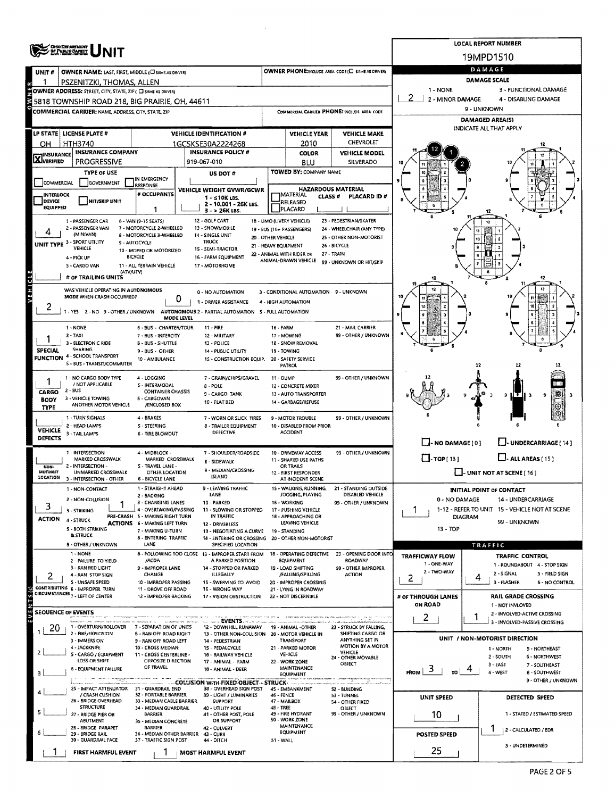|                                | <b>CHO DEPARTMENT</b><br>OF PUBLIC CAPATY                        |                                                                        |                                                                         |                      |                                               |                                                       |                                                         | <b>LOCAL REPORT NUMBER</b>                                                |  |  |  |  |
|--------------------------------|------------------------------------------------------------------|------------------------------------------------------------------------|-------------------------------------------------------------------------|----------------------|-----------------------------------------------|-------------------------------------------------------|---------------------------------------------------------|---------------------------------------------------------------------------|--|--|--|--|
|                                |                                                                  |                                                                        |                                                                         |                      |                                               |                                                       |                                                         | 19MPD1510                                                                 |  |  |  |  |
| UNIT #                         | OWNER NAME: LAST, FIRST, MIDDLE (C) SAME AS DRIVER)              |                                                                        |                                                                         |                      |                                               | OWNER PHONE:INCLUDE AREA CODE (E) SAME AS DRIVER)     | DAMAGE                                                  |                                                                           |  |  |  |  |
|                                | PSZENITZKI, THOMAS, ALLEN                                        |                                                                        |                                                                         |                      |                                               |                                                       | <b>DAMAGE SCALE</b>                                     |                                                                           |  |  |  |  |
|                                | OWNER ADDRESS: STREET, CITY, STATE, ZIP ( C) SAME AS DRIVER)     |                                                                        |                                                                         |                      |                                               |                                                       | 1 - NONE<br>2                                           | 3 - FUNCTIONAL DAMAGE                                                     |  |  |  |  |
|                                | 5818 TOWNSHIP ROAD 218, BIG PRAIRIE, OH, 44611                   |                                                                        |                                                                         |                      |                                               |                                                       | 2 - MINOR DAMAGE<br>4 - DISABLING DAMAGE<br>9 - UNKNOWN |                                                                           |  |  |  |  |
|                                | <b>COMMERCIAL CARRIER: NAME ADDRESS, CITY, STATE, ZIP</b>        |                                                                        |                                                                         |                      |                                               | COMMERCIAL CARRIER PHONE: INCLUDE AREA CODE           |                                                         |                                                                           |  |  |  |  |
|                                |                                                                  |                                                                        |                                                                         |                      |                                               |                                                       | <b>DAMAGED AREA(S)</b><br>INDICATE ALL THAT APPLY       |                                                                           |  |  |  |  |
|                                | LP STATE   LICENSE PLATE #                                       |                                                                        | <b>VEHICLE IDENTIFICATION #</b>                                         |                      | <b>VEHICLE YEAR</b>                           | <b>VEHICLE MAKE</b>                                   |                                                         |                                                                           |  |  |  |  |
| OH                             | HTH3740                                                          |                                                                        | 1GCSKSE30A2224268<br><b>INSURANCE POLICY #</b>                          |                      | 2010                                          | CHEVROLET                                             |                                                         |                                                                           |  |  |  |  |
| <b>TINSURANCE</b><br>XVERIFIED | <b>INSURANCE COMPANY</b><br><b>PROGRESSIVE</b>                   |                                                                        | 919-067-010                                                             |                      | <b>COLOR</b><br><b>BLU</b>                    | <b>VEHICLE MODEL</b><br>SILVERADO                     |                                                         |                                                                           |  |  |  |  |
|                                | <b>TYPE OF USE</b>                                               |                                                                        |                                                                         |                      | TOWED BY: COMPANY NAME                        |                                                       |                                                         |                                                                           |  |  |  |  |
| COMMERCIAL                     | GOVERNMENT                                                       | IN EMERGENCY                                                           | US DOT #                                                                |                      |                                               |                                                       |                                                         |                                                                           |  |  |  |  |
| <b>INTERLOCK</b>               |                                                                  | <b>RESPONSE</b><br># OCCUPANTS                                         | VEHICLE WEIGHT GVWR/GCWR                                                |                      | <b>HAZARDOUS MATERIAL</b><br>MATERIAL         |                                                       |                                                         |                                                                           |  |  |  |  |
| DEVICE                         | <b>HIT/SKIP UNIT</b>                                             |                                                                        | $1 - 510K$ LBS.<br>2 - 10.001 - 26K LBS.                                |                      | CLASS <sup>#</sup><br>RELEASED                | PLACARD ID#                                           |                                                         |                                                                           |  |  |  |  |
| <b>EQUIPPED</b>                |                                                                  | 1                                                                      | $3 - 26K$ LBS.                                                          |                      | PLACARD                                       |                                                       |                                                         |                                                                           |  |  |  |  |
|                                | 1 - PASSENGER CAR                                                | 6 - VAN (9-15 SEATS)                                                   | 12 - GOLF CART                                                          |                      | 18 - LIMO (LIVERY VEHICLE)                    | 23 - PEDESTRIAN/SKATER                                |                                                         |                                                                           |  |  |  |  |
|                                | 2 - PASSENGER VAN<br>(MINIVAN)                                   | 7 - MOTORCYCLE 2-WHEELED<br>8 - MOTORCYCLE 3-WHEELED                   | 13 - SNOWMOBILE<br>14 - SINGLE UNIT                                     | 20 - OTHER VEHICLE   | 19 - BUS (16+ PASSENGERS)                     | 24 - WHEELCHAIR (ANY TYPE)<br>25 - OTHER NON-MOTORIST |                                                         |                                                                           |  |  |  |  |
|                                | UNIT TYPE 3 - SPORT UTILITY<br>VEHICLE                           | 9 - AUTOCYCLE                                                          | <b>TRUCK</b>                                                            | 21 - HEAVY EQUIPMENT |                                               | 26 - BICYCLE                                          |                                                         |                                                                           |  |  |  |  |
|                                | 4 - PICK UP                                                      | 10 - MOPED OR MOTORIZED<br><b>BICYCLE</b>                              | 1S - SEMI-TRACTOR<br>16 - FARM EQUIPMENT                                |                      | 22 - ANIMAL WITH RIDER OR                     | 27 - TRAIN                                            |                                                         |                                                                           |  |  |  |  |
|                                | 5 - CARGO VAN                                                    | 11 - ALL TERRAIN VEHICLE                                               | 17 - MOTORHOME                                                          |                      | ANIMAL-DRAWN VEHICLE                          | 99 - UNKNOWN OR HIT/SKIP                              |                                                         |                                                                           |  |  |  |  |
|                                | (ATV/UTV)<br># OF TRAILING UNITS                                 |                                                                        |                                                                         |                      |                                               |                                                       |                                                         |                                                                           |  |  |  |  |
| VEHICLE                        |                                                                  |                                                                        |                                                                         |                      |                                               |                                                       |                                                         | 12                                                                        |  |  |  |  |
|                                | WAS VEHICLE OPERATING IN AUTONOMOUS<br>MODE WHEN CRASH OCCURRED? | 0                                                                      | 0 - NO AUTOMATION                                                       |                      | 3 - CONDITIONAL AUTOMATION 9 - UNKNOWN        |                                                       |                                                         |                                                                           |  |  |  |  |
| z                              |                                                                  |                                                                        | 1 - DRIVER ASSISTANCE                                                   |                      | 4 - HIGH AUTOMATION                           |                                                       |                                                         |                                                                           |  |  |  |  |
|                                | 1 - YES 2 - NO 9 - OTHER / UNKNOWN                               | MODE LEVEL                                                             | AUTONOMOUS 2 - PARTIAL AUTOMATION 5 - FULL AUTOMATION                   |                      |                                               |                                                       |                                                         |                                                                           |  |  |  |  |
|                                | 1 - NONE                                                         | 6 - BUS - CHARTER/TOUR                                                 | 11 - FIRE                                                               | 16 - FARM            |                                               | 21 - MAIL CARRIER                                     |                                                         |                                                                           |  |  |  |  |
|                                | $2 - TAXI$                                                       | 7 - BUS - INTERCITY                                                    | 12 - MILITARY                                                           |                      | 17 - MOWING                                   | 99 - OTHER / UNKNOWN                                  |                                                         |                                                                           |  |  |  |  |
| <b>SPECIAL</b>                 | 3 - ELECTRONIC RIDE<br><b>SHARING</b>                            | B - BUS - SHUTTLE                                                      | 13 - POLICE                                                             |                      | 18 - SNOW REMOVAL                             |                                                       |                                                         |                                                                           |  |  |  |  |
|                                | <b>FUNCTION 4 - SCHOOL TRANSPORT</b>                             | 9 - BUS - OTHER<br>10 - AMBULANCE                                      | 14 PUBLIC UTILITY<br>1S - CONSTRUCTION EQUIP.                           |                      | 19 - TOWING<br>20 - SAFETY SERVICE            |                                                       |                                                         |                                                                           |  |  |  |  |
|                                | S - BUS - TRANSIT/COMMUTER                                       |                                                                        |                                                                         |                      | PATROL                                        |                                                       |                                                         | 12<br>12                                                                  |  |  |  |  |
|                                | 1 - NO CARGO BODY TYPE                                           | 4 - LOGGING                                                            | 7 - GRAIN/CHIPS/GRAVEL                                                  | $11 - DUMP$          |                                               | 99 - OTHER / UNKNOWN                                  |                                                         |                                                                           |  |  |  |  |
|                                | / NOT APPLICABLE                                                 | S - INTERMODAL                                                         | 8 - POLE                                                                |                      | 12 - CONCRETE MIXER                           |                                                       |                                                         |                                                                           |  |  |  |  |
| <b>CARGO</b><br><b>BODY</b>    | 2 - BUS<br>3 - VEHICLE TOWING                                    | <b>CONTAINER CHASSIS</b><br>6 - CARGOVAN                               | 9 - CARGO TANK                                                          |                      | 13 - AUTO TRANSPORTER                         |                                                       |                                                         | 鞹<br>Đ.<br>9<br>ıŦ                                                        |  |  |  |  |
| TYPE                           | ANOTHER MOTOR VEHICLE                                            | /ENCLOSED BOX                                                          | 10 - FLAT BED                                                           |                      | 14 - GARBAGE/REFUSE                           |                                                       |                                                         | ⊙                                                                         |  |  |  |  |
|                                | 1 - TURN SIGNALS                                                 | 4 - BRAKES                                                             | 7 - WORN OR SLICK TIRES                                                 |                      | 9 - MOTOR TROUBLE                             | 99 - OTHER / UNKNOWN                                  |                                                         |                                                                           |  |  |  |  |
| <b>VEHICLE</b>                 | 2 - HEAD LAMPS                                                   | S - STEERING                                                           | 8 - TRAILER EQUIPMENT                                                   |                      | 10 - DISABLED FROM PRIOR                      |                                                       |                                                         |                                                                           |  |  |  |  |
| <b>DEFECTS</b>                 | 3 - TAIL LAMPS                                                   | <b>6 - TIRE BLOWOUT</b>                                                | DEFECTIVE                                                               |                      | <b>ACCIDENT</b>                               |                                                       |                                                         |                                                                           |  |  |  |  |
|                                |                                                                  |                                                                        |                                                                         |                      |                                               |                                                       | $\Box$ - NO DAMAGE [0]                                  | U-UNDERCARRIAGE [14]                                                      |  |  |  |  |
|                                | 1 - INTERSECTION -<br>MARKED CROSSWALK                           | 4 - MIDBLOCK -<br>MARKED CROSSWALK                                     | 7 - SHOULDER/ROADSIDE<br>8 - SIDEWALK                                   |                      | 10 - DRIVEWAY ACCESS<br>11 - SHARED USE PATHS | 99 - OTHER / UNKNOWN                                  | $\Box$ -TOP[13]                                         | $\Box$ - ALL AREAS (151                                                   |  |  |  |  |
| NON-<br>MOTORIST               | 2 - INTERSECTION -                                               | S - TRAVEL LANE -                                                      | 9 - MEDIAN/CROSSING                                                     |                      | OR TRAILS                                     |                                                       |                                                         |                                                                           |  |  |  |  |
| <b>LOCATION</b>                | UNMARKED CROSSWALK<br>3 - INTERSECTION - OTHER                   | OTHER LOCATION<br>6 - BICYCLE LANE                                     | <b>ISLAND</b>                                                           |                      | 12 - FIRST RESPONDER<br>AT INCIDENT SCENE     |                                                       |                                                         | $\Box$ - UNIT NOT AT SCENE [ 16 ]                                         |  |  |  |  |
|                                | 1 - NON-CONTACT                                                  | 1 - STRAIGHT AHEAD                                                     | - LEAVING TRAFFIC                                                       |                      | WALKING, RUNNING,                             | 21 - STANDING OUTSIDE                                 |                                                         | INITIAL POINT OF CONTACT                                                  |  |  |  |  |
|                                | 2 - NON-COLLISION                                                | 2 - BACKING                                                            | LANL<br>10 - PARKED                                                     |                      | JOGGING, PLAYING<br>16 - WORKING              | DISABLED VEHICLE<br>99 - OTHER / UNKNOWN              | 0 - NO DAMAGE                                           | 14 - UNDERCARRIAGE                                                        |  |  |  |  |
| 3                              | 3 - STRIKING                                                     | 3 - CHANGING LANES<br>4 - OVERTAKING/PASSING                           | 11 SLOWING OR STOPPED                                                   |                      | 17 - PUSHING VEHICLE                          |                                                       |                                                         | 1-12 - REFER TO UNIT 15 - VEHICLE NOT AT SCENE                            |  |  |  |  |
| <b>ACTION</b>                  | 4 - STRUCK                                                       | PRE-CRASH 5 - MAKING RIGHT TURN<br><b>ACTIONS 6 - MAKING LEFT TURN</b> | IN TRAFFIC                                                              |                      | 18 - APPROACHING OR<br>LEAVING VEHICLE        |                                                       | <b>DIAGRAM</b>                                          | 99 - UNKNOWN                                                              |  |  |  |  |
|                                | 5 - BOTH STRIKING                                                | 7 - MAKING U-TURN                                                      | 12 - DRIVERLESS<br>13 - NEGOTIATING A CURVE                             |                      | 19 - STANDING                                 |                                                       | $13 - TOP$                                              |                                                                           |  |  |  |  |
|                                | & STRUCK                                                         | 8 - ENTERING TRAFFIC                                                   | 14 - ENTERING OR CROSSING 20 - OTHER NON-MOTORIST                       |                      |                                               |                                                       |                                                         |                                                                           |  |  |  |  |
|                                | 9 - OTHER / UNKNOWN                                              | LANE                                                                   | SPECIFIED LOCATION                                                      |                      |                                               |                                                       |                                                         | TRAFFIC                                                                   |  |  |  |  |
|                                | 1 - NONE<br>2 - FAILURE TO YIELD                                 | /ACDA                                                                  | 8 - FOLLOWING TOO CLOSE 13 - IMPROPER START FROM<br>A PARKED POSITION   |                      | 18 - OPERATING DEFECTIVE<br><b>EQUIPMENT</b>  | 23 - OPENING DOOR INTO<br>ROADWAY                     | <b>TRAFFICWAY FLOW</b>                                  | <b>TRAFFIC CONTROL</b>                                                    |  |  |  |  |
|                                | 3 - RAN RED LIGHT                                                | 9 - IMPROPER LANE                                                      | 14 - STOPPED OR PARKED                                                  |                      | 19 - LOAD SHIFTING                            | 99 - OTHER IMPROPER                                   | 1 - ONE-WAY<br>2 - TWO-WAY                              | 1 - ROUNDABOUT 4 - STOP SIGN                                              |  |  |  |  |
| 2                              | 4 - RAN STOP SIGN<br>5 - UNSAFE SPEED                            | CHANGE<br>10 - IMPROPER PASSING                                        | ILLEGALLY<br>15 - SWERVING TO AVOID                                     |                      | /FALLING/SPILLING<br>20 - IMPROPER CROSSING   | <b>ACTION</b>                                         | 2                                                       | 2 - SIGNAL<br>S - YIELD SIGN<br>4<br>3 - FLASHER<br><b>6 - NO CONTROL</b> |  |  |  |  |
|                                | CONTRIBUTING 6 - IMPROPER TURN                                   | 11 - DROVE OFF ROAD                                                    | 16 - WRONG WAY                                                          |                      | 21 - LYING IN ROADWAY                         |                                                       |                                                         |                                                                           |  |  |  |  |
| T S (s)                        | CIRCUMSTANCES <sub>7</sub> - LEFT OF CENTER                      | 12 - IMPROPER BACKING                                                  | 17 - VISION OBSTRUCTION                                                 |                      | 22 - NOT DISCERNIBLE                          |                                                       | # OF THROUGH LANES<br><b>ON ROAD</b>                    | <b>RAIL GRADE CROSSING</b>                                                |  |  |  |  |
| /EN                            | <b>SEQUENCE OF EVENTS</b>                                        |                                                                        |                                                                         |                      |                                               |                                                       |                                                         | 1 - NOT INVLOVED<br>2 - INVOLVED-ACTIVE CROSSING                          |  |  |  |  |
|                                |                                                                  |                                                                        |                                                                         |                      |                                               |                                                       | 2                                                       | 1<br>3 - INVOLVED-PASSIVE CROSSING                                        |  |  |  |  |
| 20                             | 1 - OVERTURN/ROLLOVER<br>2 - FIRE/EXPLOSION                      | 7 - SEPARATION OF UNITS<br><b>B - RAN OFF ROAD RIGHT</b>               | 12 - DOWNHILL RUNAWAY<br>13 - OTHER NON-COLLISION 20 - MOTOR VEHICLE IN |                      | 19 - ANIMAL -OTHER                            | 23 - STRUCK BY FALLING.<br>SHIFTING CARGO OR          |                                                         |                                                                           |  |  |  |  |
|                                | 3 - IMMERSION                                                    | 9 - RAN OFF ROAD LEFT                                                  | 14 - PEDESTRIAN                                                         |                      | TRANSPORT                                     | ANYTHING SET IN                                       |                                                         | UNIT / NON-MOTORIST DIRECTION                                             |  |  |  |  |
|                                | 4 - JACKKNIFE<br>5 - CARGO / EQUIPMENT                           | 10 - CROSS MEDIAN<br>11 - CROSS CENTERLINE -                           | 15 - PEDALCYCLE<br>16 - RAILWAY VEHICLE                                 |                      | 21 - PARKED MOTOR<br><b>VEHICLE</b>           | MOTION BY A MOTOR<br>VEHICLE                          |                                                         | 1 - NORTH<br>5 - NORTHEAST                                                |  |  |  |  |
|                                | <b>LOSS OR SHIFT</b>                                             | OPPOSITE DIRECTION                                                     | 17 - ANIMAL - FARM                                                      |                      | 22 - WORK ZONE                                | 24 - OTHER MOVABLE<br>OBJECT                          |                                                         | 2 - SOUTH<br>6 - NORTHWEST<br>3 - EAST<br>7 - SOUTHEAST                   |  |  |  |  |
|                                | <b>6 - EQUIPMENT FAILURE</b>                                     | OF TRAVEL                                                              | 18 - ANIMAL - DEER                                                      |                      | <b>MAINTENANCE</b><br>EQUIPMENT               |                                                       | $\mathbf{r}$<br><b>FROM</b>                             | 4 - WEST<br>8 - SOUTHWEST                                                 |  |  |  |  |
|                                |                                                                  |                                                                        | COLLISION WITH FIXED OBJECT - STRUCK                                    |                      | <b>Concert A</b>                              |                                                       |                                                         | 9 - OTHER / UNKNOWN                                                       |  |  |  |  |
|                                | 25 - IMPACT ATTENUATOR 31 - GUARDRAIL END<br>/ CRASH CUSHION     | 32 - PORTABLE BARRIER                                                  | 38 - OVERHEAD SIGN POST<br>39 - LIGHT / LUMINARIES                      | 46 - FENCE           | 45 - EMBANKMENT                               | 52 - BUILDING<br>53 - TUNNEL                          |                                                         |                                                                           |  |  |  |  |
|                                | 26 - BRIDGE OVERHEAD                                             | 33 - MEDIAN CABLE BARRIER                                              | <b>SUPPORT</b>                                                          |                      | 47 - MAILBOX                                  | 54 - OTHER FIXED                                      | UNIT SPEED                                              | DETECTED SPEED                                                            |  |  |  |  |
|                                | <b>STRUCTURE</b><br>27 - BRIDGE PIER OR                          | 34 - MEDIAN GUARDRAIL<br>BARRIER                                       | 40 - UTILITY POLE<br>41 - OTHER POST, POLE                              | 4B - TREE            | 49 - FIRE HYDRANT                             | OBJECT<br>99 - OTHER / UNKNOWN                        | 10                                                      | 1 - STATED / ESTIMATED SPEED                                              |  |  |  |  |
|                                | ABUTMENT                                                         | 35 - MEDIAN CONCRETE                                                   | OR SUPPORT                                                              |                      | 50 - WORK ZONE<br>MAINTENANCE                 |                                                       |                                                         |                                                                           |  |  |  |  |
|                                | 28 - BRIDGE PARAPET<br>29 - BRIDGE RAIL                          | <b>BARRIER</b><br>36 - MEDIAN OTHER BARRIER 43 - CURB                  | 42 - CULVERT                                                            |                      | EQUIPMENT                                     |                                                       | <b>POSTED SPEED</b>                                     | 2 - CALCULATED / EDR                                                      |  |  |  |  |
|                                | 30 - GUARDRAIL FACE                                              | 37 - TRAFFIC SIGN POST                                                 | 44 - DITCH                                                              | 51 - WALL            |                                               |                                                       |                                                         | 3 - UNDETERMINED                                                          |  |  |  |  |
|                                | FIRST HARMFUL EVENT                                              |                                                                        | MOST HARMFUL EVENT                                                      |                      |                                               |                                                       | 25                                                      |                                                                           |  |  |  |  |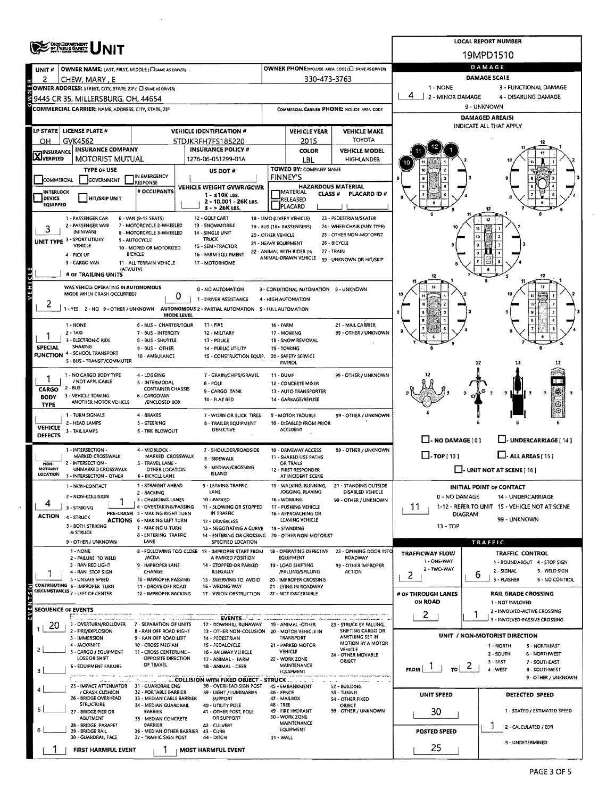|                                   | <b>OHOO DEPARTMENT</b><br>OF PUBLIC SAFETY                                                                   |                                                                        |                                                    |                                             |                                                   |                                                       |                                                         | <b>LOCAL REPORT NUMBER</b>                                         |  |  |  |
|-----------------------------------|--------------------------------------------------------------------------------------------------------------|------------------------------------------------------------------------|----------------------------------------------------|---------------------------------------------|---------------------------------------------------|-------------------------------------------------------|---------------------------------------------------------|--------------------------------------------------------------------|--|--|--|
|                                   |                                                                                                              |                                                                        |                                                    |                                             |                                                   |                                                       |                                                         | 19MPD1510                                                          |  |  |  |
| UNIT#                             | OWNER NAME: LAST, FIRST, MIDDLE (CI SAME AS DRIVER).                                                         |                                                                        |                                                    |                                             |                                                   | OWNER PHONE;INCLUDE AREA CODE (E SAME AS DRIVER)      |                                                         | DAMAGE                                                             |  |  |  |
| 2<br>œ                            | CHEW, MARY, E                                                                                                |                                                                        |                                                    | 330-473-3763                                |                                                   |                                                       |                                                         | <b>DAMAGE SCALE</b>                                                |  |  |  |
|                                   | <b>ENOWNER ADDRESS:</b> STREET, CITY, STATE, ZIP ( C) SAME AS DRIVER)<br>29445 CR 35, MILLERSBURG, OH, 44654 |                                                                        |                                                    |                                             |                                                   |                                                       | 1 - NONE<br>4                                           | 3 - FUNCTIONAL DAMAGE                                              |  |  |  |
|                                   |                                                                                                              |                                                                        |                                                    |                                             |                                                   |                                                       | 2 - MINOR DAMAGE<br>4 - DISABLING DAMAGE<br>9 - UNKNOWN |                                                                    |  |  |  |
|                                   | COMMERCIAL CARRIER: NAME, ADDRESS, CITY, STATE, ZIP                                                          |                                                                        |                                                    | COMMERCIAL CARRIER PHONE: INCLUDE AREA CODE |                                                   |                                                       | DAMAGED AREA(S)                                         |                                                                    |  |  |  |
|                                   | LP STATE LICENSE PLATE #                                                                                     |                                                                        | <b>VEHICLE IDENTIFICATION #</b>                    | <b>VEHICLE YEAR</b><br><b>VEHICLE MAKE</b>  |                                                   |                                                       | INDICATE ALL THAT APPLY                                 |                                                                    |  |  |  |
| OН                                | GVK4562                                                                                                      |                                                                        | 5TDJKRFH7FS185220                                  |                                             | 2015                                              | TOYOTA                                                |                                                         |                                                                    |  |  |  |
|                                   | <b>INSURANCE COMPANY</b>                                                                                     |                                                                        | <b>INSURANCE POLICY #</b>                          |                                             | <b>COLOR</b>                                      | <b>VEHICLE MODEL</b>                                  |                                                         |                                                                    |  |  |  |
| <b>X</b> INSURANCE                | <b>MOTORIST MUTUAL</b>                                                                                       |                                                                        | 1276-06-051299-01A                                 |                                             | LBL                                               | <b>HIGHLANDER</b>                                     |                                                         |                                                                    |  |  |  |
|                                   | <b>TYPE OF USE</b>                                                                                           | IN EMERGENCY                                                           | US DOT#                                            |                                             | TOWED BY: COMPANY NAME<br><b>FINNEY'S</b>         |                                                       |                                                         |                                                                    |  |  |  |
| COMMERCIAL                        | <b>GOVERNMENT</b>                                                                                            | <b>RESPONSE</b>                                                        | <b>VEHICLE WEIGHT GVWR/GCWR</b>                    |                                             | <b>HAZARDOUS MATERIAL</b>                         |                                                       |                                                         |                                                                    |  |  |  |
| <b>INTERLOCK</b><br><b>DEVICE</b> | HIT/SKIP UNIT                                                                                                | # OCCUPANTS                                                            | $1 - 510K$ LBS.                                    |                                             | <b>IMATERIAL</b><br><b>CLASS#</b><br>RELEASED     | PLACARD ID#                                           |                                                         |                                                                    |  |  |  |
| <b>EQUIPPED</b>                   |                                                                                                              |                                                                        | 2 - 10.001 - 26K Las.<br>$3 - 26K$ LBS.            |                                             | <b>JPLACARD</b>                                   |                                                       |                                                         |                                                                    |  |  |  |
|                                   | 1 - PASSENGER CAR                                                                                            | 6 - VAN (9-15 SEATS)                                                   | 12 - GOLF CART                                     |                                             | 18 - LIMO (LIVERY VEHICLE)                        | 23 - PEDESTRIAN/SKATER                                |                                                         |                                                                    |  |  |  |
| 3                                 | 2 - PASSENGER VAN<br>(MINIVAN)                                                                               | 7 - MOTORCYCLE 2-WHEELED<br>8 - MOTORCYCLE 3-WHEELED                   | 13 - SNOWMOBILE<br>14 - SINGLE UNIT                | 20 - OTHER VEHICLE                          | 19 - BUS (16+ PASSENGERS)                         | 24 - WHEELCHAIR (ANY TYPE)<br>2S - OTHER NON-MOTORIST |                                                         |                                                                    |  |  |  |
|                                   | UNIT TYPE 3 - SPORT UTILITY<br>VEHICLE                                                                       | 9 - AUTOCYCLE                                                          | <b>TRUCK</b><br>15 - SEMI-TRACTOR                  | 21 - HEAVY EQUIPMENT                        |                                                   | 26 - BICYCLE                                          |                                                         | 10                                                                 |  |  |  |
|                                   | 4 - PICK UP                                                                                                  | 10 - MOPED OR MOTORIZED<br><b>BICYCLE</b>                              | 16 - FARM EQUIPMENT                                |                                             | 22 - ANIMAL WITH RIDER OR<br>ANIMAL-DRAWN VEHICLE | 27 - TRAIN                                            |                                                         |                                                                    |  |  |  |
|                                   | 5 - CARGO VAN<br>(ATV/UTV)                                                                                   | 11 - ALL TERRAIN VEHICLE                                               | 17 - MOTORHOME                                     |                                             |                                                   | 99 - UNKNOWN OR HIT/SKIP                              |                                                         |                                                                    |  |  |  |
|                                   | # OF TRAILING UNITS                                                                                          |                                                                        |                                                    |                                             |                                                   |                                                       |                                                         |                                                                    |  |  |  |
| VEHICLE                           | WAS VEHICLE OPERATING IN AUTONOMOUS                                                                          |                                                                        | 0 - NO AUTOMATION                                  |                                             | 3 - CONDITIONAL AUTOMATION 9 - UNKNOWN            |                                                       |                                                         |                                                                    |  |  |  |
|                                   | MODE WHEN CRASH OCCURRED?                                                                                    | 0                                                                      | 1 - DRIVER ASSISTANCE                              |                                             | 4 - HIGH AUTOMATION                               |                                                       |                                                         |                                                                    |  |  |  |
| ۷                                 | 1 - YES 2 - NO 9 - OTHER / UNKNOWN AUTONOMOUS 2 - PARTIAL AUTOMATION S - FULL AUTOMATION                     | MODE LEVEL                                                             |                                                    |                                             |                                                   |                                                       |                                                         |                                                                    |  |  |  |
|                                   | 1 NONE                                                                                                       | 6 - 8US - CHARTER/TOUR                                                 | <b>11 - FIRE</b>                                   | 16 - FARM                                   |                                                   | 21 - MAIL CARRIER                                     |                                                         |                                                                    |  |  |  |
|                                   | 2 - TAXI                                                                                                     | 7 - BUS - INTERCITY                                                    | 12 - MILITARY                                      |                                             | 17 - MOWING                                       | 99 - OTHER / UNKNOWN                                  |                                                         |                                                                    |  |  |  |
| <b>SPECIAL</b>                    | 3 - ELECTRONIC RIDE<br>SHARING                                                                               | 8 - BUS - SHUTTLE<br>9 - BUS - OTHER                                   | 13 - POLICE<br>14 - PUBLIC UTILITY                 |                                             | 18 - SNOW REMOVAL<br>19 - TOWING                  |                                                       |                                                         |                                                                    |  |  |  |
|                                   | <b>FUNCTION 4 - SCHOOL TRANSPORT</b><br>S - BUS - TRANSIT/COMMUTER                                           | 10 - AMBULANCE                                                         | 15 - CONSTRUCTION EQUIP.                           |                                             | 20 - SAFETY SERVICE                               |                                                       |                                                         |                                                                    |  |  |  |
|                                   |                                                                                                              |                                                                        |                                                    |                                             | PATROL                                            |                                                       |                                                         | 12                                                                 |  |  |  |
|                                   | 1 - NO CARGO BODY TYPE<br>/ NOT APPLICABLE                                                                   | 4 - LOGGING<br>S - INTERMODAL                                          | 7 - GRAIN/CHIPS/GRAVEL<br>8 - POLE                 | <b>11 - DUMP</b>                            | 12 - CONCRETE MIXER                               | 99 - OTHER / UNKNOWN                                  |                                                         |                                                                    |  |  |  |
| CARGO                             | $2 - BUS$                                                                                                    | <b>CONTAINER CHASSIS</b>                                               | 9-CARGO TANK                                       |                                             | 13 - AUTO TRANSPORTER                             |                                                       |                                                         | Ŧ<br>9                                                             |  |  |  |
| <b>BODY</b><br><b>TYPE</b>        | 3 - VEHICLE TOWING<br>ANOTHER MOTOR VEHICLE                                                                  | 6 - CARGOVAN<br>/ENCLOSED BOX                                          | 10 - FLAT BED                                      |                                             | 14 - GARBAGE/REFUSE                               |                                                       |                                                         |                                                                    |  |  |  |
|                                   | 1 - TURN SIGNALS                                                                                             | 4 - SRAKES                                                             | 7 - WORN OR SLICK TIRES                            |                                             | 9 - MOTOR TROUBLE                                 | 99 - OTHER / UNKNOWN                                  |                                                         |                                                                    |  |  |  |
| <b>VEHICLE</b>                    | 2 - HEAD LAMPS                                                                                               | 5 - STEERING                                                           | 8 - TRAILER EQUIPMENT<br>DEFECTIVE                 |                                             | 10 - DISABLED FROM PRIOR<br>ACCIDENT              |                                                       |                                                         |                                                                    |  |  |  |
| DEFECTS                           | 3 - TAIL LAMPS                                                                                               | <b>6 - TIRE BLOWOUT</b>                                                |                                                    |                                             |                                                   |                                                       | $\Box$ - NO DAMAGE (0)                                  | J-UNDERCARRIAGE [14]                                               |  |  |  |
|                                   | 1 - INTERSECTION -                                                                                           | 4 - MIDBLOCK -                                                         | 7 - SHOULDER/ROADSIDE                              |                                             | 10 - DRIVEWAY ACCESS                              | 99 - OTHER / UNKNOWN                                  |                                                         |                                                                    |  |  |  |
| NON-                              | MARKED CROSSWALK<br>2 - INTERSECTION -                                                                       | MARKED CROSSWALK<br>5 - TRAVEL LANE -                                  | <b>B - SIDEWALK</b>                                |                                             | 11 - SHARED USE PATHS<br>OR TRAILS                |                                                       | $\Box$ -TOP[13]                                         | $\Box$ - ALL AREAS [ 15 ]                                          |  |  |  |
| <b>MOTORIST</b><br>LOCATION       | UNMARKED CROSSWALK<br>3 - INTERSECTION - OTHER                                                               | OTHER LOCATION<br>6 - BICYCLE LANE                                     | 9 - MEDIAN/CROSSING<br><b>ISLAND</b>               |                                             | 12 - FIRST RESPONDER<br>AT INCIDENT SCENE         |                                                       |                                                         | $\Box$ - UNIT NOT AT SCENE [ 16 ]                                  |  |  |  |
|                                   | 1 - NON-CONTACT                                                                                              | 1 - STRAIGHT AHEAD                                                     | 9 - I FAVING TRAFFIC                               |                                             |                                                   | 15 - WALKING, RUNNING. 21 - STANDING OUTSIDE          |                                                         | <b>INITIAL POINT OF CONTACT</b>                                    |  |  |  |
|                                   | 2 - NON-COLLISION                                                                                            | 2 - BACKING<br>3 - CHANGING LANES                                      | LANE<br>10 - PARKED                                |                                             | JOGGING, PLAYING<br>16 - WORKING                  | DISABLED VEHICLE<br>99 - OTHER / UNKNOWN              | 0 - NO DAMAGE                                           | 14 - UNDERCARRIAGE                                                 |  |  |  |
|                                   | 3 - STRIKING                                                                                                 | 4 - OVERTAKING/PASSING                                                 | 11 - SLOWING OR STOPPED                            |                                             | 17 - PUSHING VEHICLE                              |                                                       | 11                                                      | 1-12 - REFER TO UNIT 15 - VEHICLE NOT AT SCENE                     |  |  |  |
| ACTION                            | 4 - STRUCK                                                                                                   | PRE-CRASH 5 - MAKING RIGHT TURN<br><b>ACTIONS 6 - MAKING LEFT TURN</b> | IN TRAFFIC<br><b>12 - DRIVERLESS</b>               |                                             | 18 - APPROACHING OR<br>LEAVING VEHICLE            |                                                       |                                                         | <b>DIAGRAM</b><br>99 - UNKNOWN                                     |  |  |  |
|                                   | 5 - BOTH STRIKING<br>& STRUCK                                                                                | 7 - MAKING U-TURN                                                      | 13 - NEGOTIATING A CURVE                           |                                             | 19 - STANDING                                     |                                                       | 13 - TOP                                                |                                                                    |  |  |  |
|                                   | 9 - OTHER / UNKNOWN                                                                                          | 8 - ENTERING TRAFFIC<br>LANE                                           | 14 - ENTERING OR CROSSING<br>SPECIFIED LOCATION    |                                             | 20 - OTHER NON-MOTORIST                           |                                                       |                                                         | TRAFFIC                                                            |  |  |  |
|                                   | 1 - NONE<br>2 - FAILURE TO YIELD                                                                             |                                                                        | B - FOLLOWING TOO CLOSE 13 - IMPROPER START FROM   |                                             | 18 - OPERATING DEFECTIVE                          | 23 - OPENING DOOR INTO                                | TRAFFICWAY FLOW                                         | <b>TRAFFIC CONTROL</b>                                             |  |  |  |
|                                   | 3 - RAN RED LIGHT                                                                                            | /ACDA<br>9 - IMPROPER LANE                                             | A PARKED POSITION<br>14 - STOPPED OR PARKED        |                                             | EQUIPMENT<br>19 - LOAD SHIFTING                   | ROADWAY<br>99 - OTHER IMPROPER                        | 1 - ONE-WAY<br>2 - TWO-WAY                              | 1 - ROUNDABOUT 4 - STOP SIGN                                       |  |  |  |
|                                   | 4 - RAN STOP SIGN<br>5 - UNSAFE SPEED                                                                        | CHANGE<br>10 - IMPROPER PASSING                                        | ILLEGALLY<br>15 - SWERVING TO AVOID                |                                             | /FALUNG/SPILLING<br>20 - IMPROPER CROSSING        | <b>ACTION</b>                                         | 2                                                       | 2 - SIGNAL<br>5 - YIELD SIGN<br>6<br>3 - FLASHER<br>6 - NO CONTROL |  |  |  |
|                                   | CONTRIBUTING 6 - IMPROPER TURN<br>CIRCUMSTANCES 7 - LEFT OF CENTER                                           | 11 - DROVE OFF ROAD                                                    | 16 - WRONG WAY                                     |                                             | 21 - LYING IN ROADWAY                             |                                                       |                                                         |                                                                    |  |  |  |
|                                   |                                                                                                              | 12 - IMPROPER BACKING                                                  | 17 - VISION OBSTRUCTION                            |                                             | 22 - NOT DISCERNIBLE                              |                                                       | # OF THROUGH LANES<br>ON ROAD                           | <b>RAIL GRADE CROSSING</b><br>1 - NOT INVLOVED                     |  |  |  |
| EVENTS(s)                         | <b>SEQUENCE OF EVENTS</b>                                                                                    |                                                                        |                                                    |                                             |                                                   |                                                       | 2                                                       | 2 - INVOLVED-ACTIVE CROSSING<br>1                                  |  |  |  |
| 20                                | 1 - OVERTURN/ROLLOVER                                                                                        | 7 - SEPARATION OF UNITS                                                | EVENTS<br>12 - DOWNHILL RUNAWAY                    |                                             | able - Anna acceptance and<br>19 - ANIMAL -OTHER  | 23 - STRUCK BY FALLING,                               |                                                         | 3 - INVOLVED-PASSIVE CROSSING                                      |  |  |  |
|                                   | 2 - FIRE/EXPLOSION                                                                                           | <b>B - RAN OFF ROAD RIGHT</b>                                          | 13 - OTHER NON-COLLISION 20 - MOTOR VEHICLE IN     |                                             | TRANSPORT                                         | SHIFTING CARGO OR<br>ANYTHING SET IN                  |                                                         | UNIT / NON-MOTORIST DIRECTION                                      |  |  |  |
|                                   | 3 - IMMERSION<br>4 - JACKKNIFE                                                                               | 9 - RAN OFF ROAD LEFT<br>10 - CROSS MEDIAN                             | 14 - PEDESTRIAN<br>15 - PEDALCYCLE                 |                                             | 21 - PARKED MOTOR                                 | MOTION BY A MOTOR                                     |                                                         | 1 - NORTH<br>5 - NORTHEAST                                         |  |  |  |
| 2                                 | 5 - CARGO / EQUIPMENT<br>LOSS OR SHIFT                                                                       | 11 - CROSS CENTERLINE -<br>OPPOSITE DIRECTION                          | 16 - RAILWAY VEHICLE<br>17 - ANIMAL - FARM         |                                             | VEHICLE<br>22 - WORK ZONE                         | VEHICLE<br>24 - OTHER MOVABLE                         |                                                         | 6 - NORTHWEST<br>2 - SOUTH                                         |  |  |  |
| 3                                 | <b>6 - EQUIPMENT FAILURE</b>                                                                                 | OF TRAVEL                                                              | 18 - ANIMAL - DEER                                 |                                             | MAINTENANCE<br>EQUIPMENT                          | OBJECT                                                | $\frac{1}{\sqrt{2}}$ $\frac{1}{\sqrt{2}}$<br>FROM       | 3 - EAST<br>7 - SOUTHEAST<br>4-WEST<br><b>B - SOUTHWEST</b>        |  |  |  |
|                                   |                                                                                                              | <b>SALE IN A 2001 COLLISION WITH FIXED OBJECT - STRUCK </b>            |                                                    |                                             |                                                   |                                                       |                                                         | 9 - OTHER / UNKNOWN                                                |  |  |  |
|                                   | 25 - IMPACT ATTENUATOR 31 - GUARDRAIL END<br>/ CRASH CUSHION                                                 | 32 - PORTABLE BARRIER                                                  | 38 - OVERHEAD SIGN POST<br>39 - LIGHT / LUMINARIES | 46 - FENCE                                  | 45 - EMBANKMENT                                   | 52 - BUILDING<br>53 - TUNNEL                          |                                                         |                                                                    |  |  |  |
|                                   | 26 - BRIDGE OVERHEAD<br><b>STRUCTURE</b>                                                                     | 33 - MEDIAN CABLE SARRIER<br>34 - MEDIAN GUARDRAIL                     | <b>SUPPORT</b><br>40 - UTILITY POLE                | 48 - TREE                                   | 47 - MAILBOX                                      | 54 - OTHER FIXED<br>OBJECT                            | <b>UNIT SPEED</b>                                       | DETECTED SPEED                                                     |  |  |  |
| 5                                 | 27 - BRIDGE PIER OR                                                                                          | <b>BARRIER</b>                                                         | 41 - OTHER POST, POLE                              |                                             | 49 - FIRE HYDRANT<br>50 - WORK ZONE               | 99 - OTHER / UNKNOWN                                  | 30                                                      | 1 - STATED / ESTIMATED SPEED                                       |  |  |  |
|                                   | ABUTMENT<br>28 - BRIDGE PARAPET                                                                              | 35 - MEDIAN CONCRETE<br>BARRIER                                        | OR SUPPORT<br>42 - CULVERT                         |                                             | MAINTENANCE                                       |                                                       |                                                         | 2 - CALCULATED / EDR                                               |  |  |  |
|                                   | 29 - BRIDGE RAIL<br>30 - GUARDRAIL FACE                                                                      | 36 - MEDIAN OTHER BARRIER 43 - CURB<br>37 - TRAFFIC SIGN POST          | 44 - DITCH                                         | 51 - WALL                                   | EQUIPMENT                                         |                                                       | <b>POSTED SPEED</b>                                     |                                                                    |  |  |  |
|                                   | FIRST HARMFUL EVENT                                                                                          |                                                                        | MOST HARMFUL EVENT                                 |                                             |                                                   |                                                       | 25                                                      | 3 - UNDETERMINED                                                   |  |  |  |
|                                   |                                                                                                              |                                                                        |                                                    |                                             |                                                   |                                                       |                                                         |                                                                    |  |  |  |

 $\bar{z}$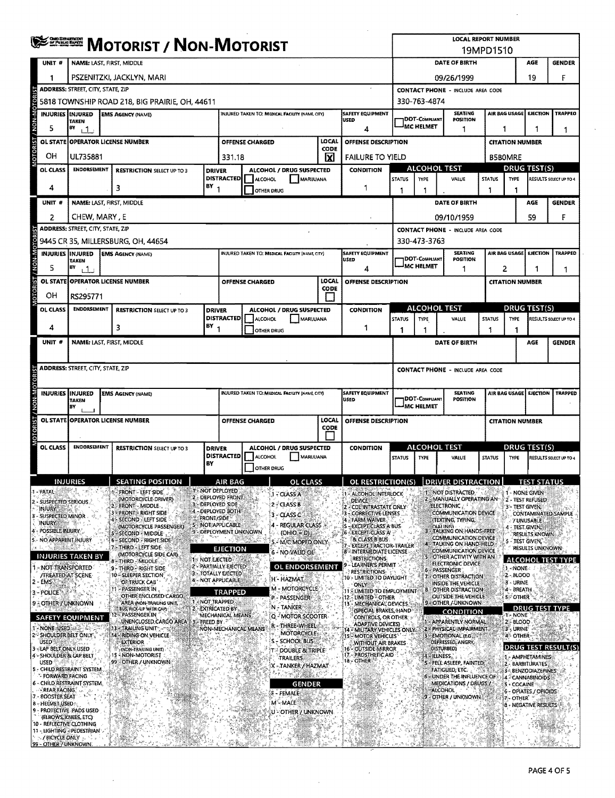| <b>CHO DEPARTMENT</b><br>A <u>of Public Barry</u>                   | <b>MOTORIST / NON-MOTORIST</b>                          |                                                                              |                                                   |                                          |                                                                              |                        |                                                        |                             | <b>LOCAL REPORT NUMBER</b><br>19MPD1510                             |                                                                                                     |                                    |                                                                               |                                    |                                                                   |                                        |                            |  |
|---------------------------------------------------------------------|---------------------------------------------------------|------------------------------------------------------------------------------|---------------------------------------------------|------------------------------------------|------------------------------------------------------------------------------|------------------------|--------------------------------------------------------|-----------------------------|---------------------------------------------------------------------|-----------------------------------------------------------------------------------------------------|------------------------------------|-------------------------------------------------------------------------------|------------------------------------|-------------------------------------------------------------------|----------------------------------------|----------------------------|--|
| UNIT <sup>#</sup>                                                   | NAME: LAST, FIRST, MIDDLE                               |                                                                              |                                                   |                                          |                                                                              |                        |                                                        |                             |                                                                     |                                                                                                     | DATE OF BIRTH<br>AGE<br>GENDER     |                                                                               |                                    |                                                                   |                                        |                            |  |
| 1                                                                   |                                                         | PSZENITZKI, JACKLYN, MARI                                                    |                                                   |                                          |                                                                              |                        |                                                        |                             |                                                                     | 19<br>F<br>09/26/1999                                                                               |                                    |                                                                               |                                    |                                                                   |                                        |                            |  |
|                                                                     | <b>ADDRESS: STREET, CITY, STATE, ZIP</b>                |                                                                              |                                                   | <b>CONTACT PHONE - INCLUDE AREA CODE</b> |                                                                              |                        |                                                        |                             |                                                                     |                                                                                                     |                                    |                                                                               |                                    |                                                                   |                                        |                            |  |
| OTOR                                                                | 5818 TOWNSHIP ROAD 218, BIG PRAIRIE, OH, 44611          |                                                                              |                                                   |                                          |                                                                              |                        |                                                        |                             |                                                                     |                                                                                                     | 330-763-4874                       |                                                                               |                                    |                                                                   |                                        |                            |  |
| <b>M-N-M</b><br><b>INJURIES IMJURED</b>                             | <b>TAKEN</b>                                            | <b>EMS AGENCY (NAME)</b>                                                     |                                                   |                                          |                                                                              |                        | INJURED TAKEN TO: MEDICAL FACILITY (NAME, CITY)        |                             | <b>SAFETY EQUIPMENT</b><br><b>USED</b>                              |                                                                                                     | DOT-COMPLIANT                      | SEATING<br><b>POSITION</b>                                                    |                                    | AIR BAG USAGE                                                     | <b>EJECTION</b>                        | <b>TRAPPEO</b>             |  |
| 5                                                                   | BY<br>ا ل                                               |                                                                              |                                                   |                                          |                                                                              |                        |                                                        |                             | 4                                                                   |                                                                                                     | <b>MC HELMET</b>                   | 1                                                                             |                                    |                                                                   |                                        | 1                          |  |
| <b>DRIST</b><br><b>OL STATE</b>                                     |                                                         | <b>OPERATOR LICENSE NUMBER</b>                                               |                                                   |                                          |                                                                              | OFFENSE CHARGED        |                                                        | LOCAL<br>CODE               | <b>OFFENSE DESCRIPTION</b>                                          |                                                                                                     |                                    |                                                                               |                                    | <b>CITATION NUMBER</b>                                            |                                        |                            |  |
| OН                                                                  | UL735881                                                |                                                                              |                                                   |                                          | 331.18                                                                       |                        |                                                        | ΙX                          | <b>FAILURE TO YIELD</b>                                             |                                                                                                     |                                    |                                                                               |                                    | <b>B5BOMRE</b>                                                    |                                        |                            |  |
| <b>OL CLASS</b>                                                     | <b>ENDORSEMENT</b><br><b>RESTRICTION SELECT UP TO 3</b> |                                                                              |                                                   | <b>DRIVER</b>                            | ALCOHOL / DRUG SUSPECTED<br><b>DISTRACTED</b><br><b>ALCOHOL</b><br>MARIJUANA |                        |                                                        | <b>CONDITION</b>            | <b>STATUS</b>                                                       | <b>ALCOHOL TEST</b><br>TYPE                                                                         |                                    | <b>STATUS</b>                                                                 | <b>DRUG TEST(S)</b><br><b>TYPE</b> |                                                                   | <b>RESULTS SELECT UP TO 4</b>          |                            |  |
| 4                                                                   | з                                                       |                                                                              |                                                   | $BY_1$                                   |                                                                              | OTHER DRUG             |                                                        |                             | 1                                                                   | 1                                                                                                   | 1                                  | VALUE                                                                         | п.                                 | 1                                                                 |                                        |                            |  |
| UNIT #                                                              |                                                         | NAME: LAST, FIRST, MIDDLE                                                    |                                                   |                                          |                                                                              |                        |                                                        |                             |                                                                     |                                                                                                     |                                    | <b>DATE OF BIRTH</b>                                                          |                                    |                                                                   | AGE                                    | <b>GENDER</b>              |  |
| 2                                                                   | CHEW, MARY , E                                          |                                                                              |                                                   |                                          |                                                                              |                        |                                                        |                             |                                                                     |                                                                                                     |                                    | 09/10/1959                                                                    |                                    |                                                                   | 59                                     | F                          |  |
|                                                                     | <b>ADDRESS: STREET, CITY, STATE, ZIP</b>                |                                                                              |                                                   |                                          |                                                                              |                        |                                                        |                             |                                                                     |                                                                                                     |                                    | <b>CONTACT PHONE - INCLUDE AREA CODE</b>                                      |                                    |                                                                   |                                        |                            |  |
|                                                                     |                                                         | 9445 CR 35, MILLERSBURG, OH, 44654                                           |                                                   |                                          |                                                                              |                        |                                                        |                             |                                                                     |                                                                                                     | 330-473-3763                       |                                                                               |                                    |                                                                   |                                        |                            |  |
| <b>N-N-N</b><br>5                                                   | <b>INJURIES IINJURED</b><br><b>TAKEN</b><br>BY<br>ا ل   | <b>EMS AGENCY (NAME)</b>                                                     |                                                   |                                          |                                                                              |                        | INJURED TAKEN TO: MEDICAL FACILITY (NAME, CITY)        |                             | <b>SAFETY EQUIPMENT</b><br>USED<br>4                                |                                                                                                     | DOT-COMPLIANT<br><b>IMC HELMET</b> | <b>SEATING</b><br><b>POSITION</b><br>1                                        |                                    | AIR BAG USAGE<br><b>EJECTION</b><br><b>TRAPPED</b><br>2<br>1<br>1 |                                        |                            |  |
|                                                                     |                                                         | OL STATE OPERATOR LICENSE NUMBER                                             |                                                   |                                          |                                                                              | <b>OFFENSE CHARGED</b> |                                                        | LOCAL                       | OFFENSE DESCRIPTION                                                 |                                                                                                     |                                    |                                                                               |                                    | <b>CITATION NUMBER</b>                                            |                                        |                            |  |
| OН                                                                  | RS295771                                                |                                                                              |                                                   |                                          |                                                                              |                        |                                                        | <b>CODE</b><br>$\mathbf{I}$ |                                                                     |                                                                                                     |                                    |                                                                               |                                    |                                                                   |                                        |                            |  |
| <b>OL CLASS</b>                                                     | <b>ENDORSEMENT</b>                                      |                                                                              | <b>RESTRICTION SELECT UP TO 3</b>                 | <b>DRIVER</b>                            |                                                                              |                        | ALCOHOL / DRUG SUSPECTED                               |                             | <b>CONDITION</b>                                                    |                                                                                                     | ALCOHOL TEST                       |                                                                               |                                    |                                                                   | <b>DRUG TEST(S)</b>                    |                            |  |
| 4                                                                   |                                                         | 3                                                                            |                                                   | BY                                       | <b>DISTRACTED</b>                                                            | ALCOHOL                | MARIJUANA                                              |                             | 1                                                                   | <b>STATUS</b>                                                                                       | <b>TYPE</b>                        | VALUE                                                                         | <b>STATUS</b>                      | TYPE                                                              |                                        | RESULTS SELECT UP TO 4     |  |
| UNIT <sup>#</sup>                                                   |                                                         | NAME: LAST, FIRST, MIDDLE                                                    |                                                   | -1                                       |                                                                              | <b>OTHER DRUG</b>      |                                                        |                             |                                                                     | 1                                                                                                   | 1                                  | DATE OF BIRTH                                                                 |                                    |                                                                   | AGE                                    | <b>GENDER</b>              |  |
|                                                                     |                                                         |                                                                              |                                                   |                                          |                                                                              |                        |                                                        |                             |                                                                     |                                                                                                     |                                    |                                                                               |                                    |                                                                   |                                        |                            |  |
|                                                                     | <b>ADDRESS: STREET, CITY, STATE, ZIP</b>                |                                                                              |                                                   |                                          |                                                                              |                        |                                                        |                             |                                                                     |                                                                                                     |                                    | <b>CONTACT PHONE - INCLUDE AREA CODE</b>                                      |                                    |                                                                   |                                        |                            |  |
|                                                                     |                                                         |                                                                              |                                                   |                                          |                                                                              |                        |                                                        |                             |                                                                     |                                                                                                     |                                    |                                                                               |                                    |                                                                   |                                        |                            |  |
| INJURIES INJURED<br>/ NON-N                                         | <b>TAKEN</b><br>BY                                      | <b>EMS AGENCY (NAME)</b>                                                     |                                                   |                                          |                                                                              |                        | <b>INJURED TAKEN TO: MEDICAL FACILITY (NAME, CITY)</b> |                             | SAFETY EQUIPMENT<br>USED                                            | <b>SEATING</b><br>AIR BAG USAGE   EJECTION<br><b>IDOT-COMPLIANT</b><br><b>POSITION</b><br>MC HELMET |                                    |                                                                               |                                    | TRAPPED                                                           |                                        |                            |  |
|                                                                     |                                                         | OL STATE OPERATOR LICENSE NUMBER                                             |                                                   |                                          | LOCAL<br>OFFENSE CHARGED<br>OFFENSE DESCRIPTION<br>CODE                      |                        |                                                        |                             |                                                                     |                                                                                                     |                                    | <b>CITATION NUMBER</b>                                                        |                                    |                                                                   |                                        |                            |  |
| OL CLASS                                                            | <b>ENDORSEMENT</b>                                      |                                                                              | <b>RESTRICTION SELECT UP TO 3</b>                 | <b>DRIVER</b>                            | ALCOHOL / DRUG SUSPECTED                                                     |                        |                                                        | <b>CONDITION</b>            | ALCOHOL TEST                                                        |                                                                                                     |                                    |                                                                               | <b>DRUG TEST(S)</b>                |                                                                   |                                        |                            |  |
|                                                                     |                                                         |                                                                              |                                                   | BY                                       | <b>DISTRACTED</b>                                                            | <b>ALCOHOL</b>         | MARIJUANA                                              |                             |                                                                     | <b>STATUS</b>                                                                                       | <b>TYPE</b>                        | VALUE                                                                         | <b>STATUS</b>                      | TYPE                                                              |                                        | RESULTS SELECT UP TO 4     |  |
|                                                                     | <b>INJURIES</b>                                         |                                                                              | SEATING POSITION<br>ш                             |                                          | AIR RAG                                                                      | OTHER DRUG             | <b>OL CLASS</b>                                        |                             | OL RESTRICTION(S) DRIVER DISTRACTION                                |                                                                                                     |                                    |                                                                               |                                    |                                                                   | <b>TEST STATHS</b>                     |                            |  |
| - FATAL                                                             |                                                         | FRONT - LEFT SIDE                                                            |                                                   |                                          | <b>THE NOT DEPLOYED</b>                                                      |                        | 1 - CLASS A                                            |                             | - ALCOHOL INTERLOCK                                                 |                                                                                                     |                                    | NOT DISTRACTED                                                                |                                    |                                                                   | 1 - NONE GIVEN                         |                            |  |
| SUSPECTED SERIOUS<br><b>INJURY</b>                                  |                                                         | (MOTORCYCLE DRIVER)<br>FRONT - MIDDLE.                                       |                                                   |                                          | 2 - DEPLOYED FRONT<br>3 - DEPLOYED SIDE                                      |                        | 2 CLASS B                                              |                             | <b>DEVICE</b><br>CDL INTRASTATE ONLY                                |                                                                                                     |                                    | MANUALLY OPERATING AN<br><b>ELECTRONIC</b>                                    |                                    | 3 - TEST GIVEN,                                                   | 2 - TEST REFUSED                       |                            |  |
| - SUSPECTED MINOR<br><b>INJURY</b>                                  |                                                         | <b>FRONT - RIGHT SIDE</b><br>SECOND - LEFT SIDE                              |                                                   | <b>FRONT/SIDE</b>                        | 4 - DEPLOYED BOTH                                                            |                        | 3 - CLASS C                                            |                             | CORRECTIVE LENSES<br><b>FARM WAIVER</b>                             |                                                                                                     |                                    | <b>COMMUNICATION DEVICE</b><br>(TEXTING, TYPING,                              |                                    |                                                                   | <b>7 UNUSABLE</b>                      | <b>CONTAMINATED SAMPLE</b> |  |
| POSSIBLE INJURY                                                     |                                                         | <b>S-SECOND - MIDDLE</b>                                                     | (MOTORCYCLE PASSENGER)                            |                                          | NOT APPLICABLE<br>9 - DEPLOYMENT UNKNOWN                                     |                        | 4 - REGULAR CLASS »<br>$(OHIO = D)$                    |                             | <b>EXCEPT CLASS A BUS</b><br>15<br>6 - EXCEPT CLASS A               |                                                                                                     |                                    | DIALING<br><b>B-TALKING ON HANDS-EREE</b>                                     |                                    | 4 - TEST.GIVEN,                                                   | <b>RESULTS KNOWN</b>                   |                            |  |
| NO APPARENT INJURY                                                  |                                                         | 6 - SECOND - RIGHT SIDE<br>7 - THIRD - LEFT SIDE:                            |                                                   |                                          | <b>EJECTION</b>                                                              |                        | - M/C MOPED ONLY                                       |                             | <b>&amp; CLASS B BUS</b><br>EXCEPT TRACTOR-TRAILER                  |                                                                                                     |                                    | <b>COMMUNICATION DEVICE</b><br>4 TALKING ON HAND HELD<br>COMMUNICATION DEVICE |                                    | 5 - TEST GIVEN,                                                   | <b>RESULTS UNKNOWN</b>                 |                            |  |
|                                                                     | INJURIES TAKEN BY                                       | B - THIRD - MIDDLE                                                           | (MOTORCYCLE SIDE CAR)                             | 1- NOT EJECTED                           |                                                                              |                        | 6 - NO VALID OLF                                       |                             | 8 - INTERMEDIATE LICENSE<br><b>RESTRICTIONS</b><br>LEARNER'S PERMIT |                                                                                                     |                                    | - OTHER ACTIVITY WITH AN<br>ELECTRONIC DEVICE                                 |                                    |                                                                   |                                        | <b>ALCOHOL TEST TYPE</b>   |  |
| - NOT TRANSPORTED<br><b>/TREATED AT SCENE</b>                       |                                                         | 9 - THIRD - RIGHT SIDE<br>10 - SLEEPER SECTION                               |                                                   |                                          | 2 - PARTIALLY EJECTED<br>3 - TOTALLY EJECTED                                 |                        | <b>OL ENDORSEMENT</b><br>H - HAZMAT                    |                             | <b>RESTRICTIONS</b><br>10 - LIMITED TO DAYLIGHT                     |                                                                                                     |                                    | 6 - PASSENGER<br>7 - OTHER DISTRACTION                                        |                                    | <b>J-NONE</b><br>2-BLOOD                                          |                                        |                            |  |
| 2 - EMS<br>3 - POLICE                                               |                                                         | OF TRUCK CAB<br>11 - PASSENGER IN                                            |                                                   |                                          | 4 - NOT APPLICABLE<br><b>TRAPPED</b>                                         |                        | M - MOTORCYCLE                                         |                             | <b>ONLY &amp;</b><br>11 - LIMITED TO EMPLOYMENT                     |                                                                                                     |                                    | INSIDE THE VEHICLE<br>OTHER DISTRACTION                                       |                                    | 3 - URINE<br>4 - BREATH                                           |                                        |                            |  |
| 9 - OTHER / UNKNOWN                                                 |                                                         |                                                                              | OTHER ENCLOSED CARGO.<br>AREA (NON-TRAILING UNIT, | NOT TRAPPED                              |                                                                              |                        | P - PASSENGER<br><b>N-TANKER</b>                       |                             | 12 - LIMITED - OTHER<br>- MECHANICAL DEVICES.<br>13                 |                                                                                                     |                                    | <b>OUTSIDE THE VEHICLE</b><br>- OTHER AUNKNOWN                                |                                    | <b>SCOTHER</b>                                                    |                                        |                            |  |
| <b>SAFETY EQUIPMENT</b>                                             |                                                         | BUS, PICK-UP WITH CAPI<br>12 - PASSENGER IN                                  |                                                   |                                          | <b>EXTRICATED BY</b><br>MECHANICAL MEANS                                     |                        | Q-MOTOR SCOOTER                                        |                             | (SPECIAL BRAKES, HAND<br>CONTROLS, OR OTHER                         |                                                                                                     |                                    | <b>CONDITION</b>                                                              |                                    | 1-NONE                                                            |                                        | <b>DRUG TEST TYPE</b>      |  |
| NONE USED                                                           |                                                         | 13 : TRAILING UNIT                                                           | UNENCLOSED CARGO AREA                             | - FREED BY                               |                                                                              | NON-MECHANICAL MEANS   | r - Three-Wheel<br>MOTORCYCLE                          |                             | ADAPTIVE DEVICES)<br>14 - MILITARY VEHICLES ONLY.                   |                                                                                                     |                                    | - APPARENTLY NORMAL<br>2 - PHYSICAL IMPAIRMENT                                |                                    | 2: BLOOD<br>3 - Urine                                             |                                        |                            |  |
| 2 SHOULDER BELT ONLY<br>USED                                        |                                                         | 14 RIDING ON VEHICLE<br><b>EXTERIOR</b>                                      |                                                   |                                          |                                                                              |                        | S - SCHOOL BUS                                         |                             | <b>15 - MOTOR VEHICLES</b><br>WITHOUT AIR BRAKES                    |                                                                                                     |                                    | <b>EMOTIONAL (E.G.)</b><br>DEPRESSED, ANGRY,                                  |                                    | 4 OTHER                                                           |                                        | DRUG TEST RESULT(S         |  |
| 3 - LAP BELT ONLY USED<br>4 - SHOULDER & LAP BELT                   |                                                         | <b>INON-TRAILING UNIT)</b><br><b>15 NON-MOTORIST</b><br>99 - OTHER / UNKNOWN |                                                   |                                          |                                                                              |                        | T-- DOUBLE & TRIPLE<br><b>TRAILERS</b>                 |                             | 16'- OUTSIDE MIRROR<br>17. - PROSTHETIC AID<br>18 - OTHER           |                                                                                                     |                                    | <b>DISTURBED)</b><br><b>4 ILLNESS.</b>                                        |                                    |                                                                   | - AMPHETAMINES                         |                            |  |
| USED<br>5 - CHILD RESTRAINT SYSTEM                                  |                                                         |                                                                              |                                                   |                                          |                                                                              |                        | X - TANKER / HAZMAT                                    |                             |                                                                     |                                                                                                     |                                    | 5 FELL ASLEEP, FAINTED,<br>FATIGUED, ETC.                                     |                                    |                                                                   | 2 - BARBITURATES<br>3- BENZODIAZEPINES |                            |  |
| "- FORWARD FACING<br>6 - CHILD RESTRAINT SYSTEM.                    |                                                         |                                                                              |                                                   |                                          |                                                                              |                        | <b>GENDER</b>                                          |                             |                                                                     |                                                                                                     |                                    | 6 - UNDER THE INFLUENCE OF<br>MEDICATIONS / DRUGS /                           |                                    | 5 - COCAINE                                                       | 4 CANNABINOIDS                         |                            |  |
| REAR FACING.<br>7 - BOOSTER SEAT                                    |                                                         |                                                                              |                                                   |                                          |                                                                              |                        | F - FEMALE<br>M - MALE                                 |                             |                                                                     |                                                                                                     |                                    | <b>ALCOHOL</b><br>OTHER / UNKNOWN                                             |                                    | 7 - OTHER                                                         | 6 - OPIATES / OPIOIDS                  |                            |  |
| 8 - HELMET USED<br>9 - PROTECTIVE PADS USED<br>(ELBOWS, KNEES, ETC) |                                                         |                                                                              |                                                   |                                          |                                                                              |                        | U ≍OTHER / UNKNOWN                                     |                             |                                                                     |                                                                                                     |                                    |                                                                               |                                    |                                                                   | <b>8 - NEGATIVE RESULTS</b>            |                            |  |
| 10 - REFLECTIVE CLOTHING<br>11 - LIGHTING - PEDESTRIAN              |                                                         |                                                                              |                                                   |                                          |                                                                              |                        |                                                        |                             |                                                                     |                                                                                                     |                                    |                                                                               |                                    |                                                                   |                                        |                            |  |
| $-$ / BICYCLE ONLY $-$<br>99 - OTHER / UNKNOWN                      |                                                         |                                                                              |                                                   |                                          |                                                                              |                        |                                                        |                             |                                                                     |                                                                                                     |                                    |                                                                               |                                    |                                                                   |                                        |                            |  |

 $\sim 10^6$ 

 $\bar{\omega}$ 

 $\bar{\mathbf{x}}$ 

 $\sim$ 

 $\sim$